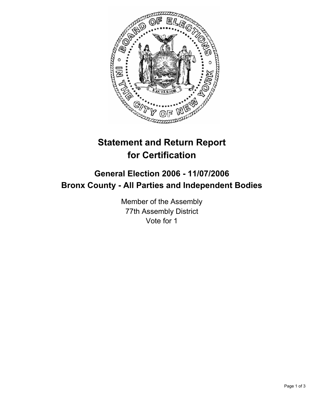

## **Statement and Return Report for Certification**

## **General Election 2006 - 11/07/2006 Bronx County - All Parties and Independent Bodies**

Member of the Assembly 77th Assembly District Vote for 1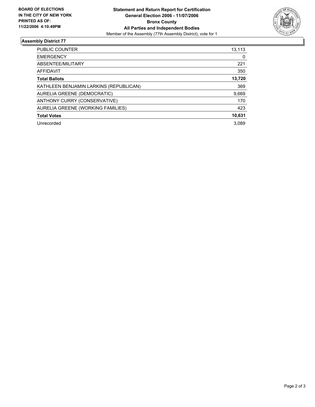

## **Assembly District 77**

| PUBLIC COUNTER                         | 13,113 |
|----------------------------------------|--------|
| <b>EMERGENCY</b>                       | 0      |
| ABSENTEE/MILITARY                      | 221    |
| AFFIDAVIT                              | 350    |
| <b>Total Ballots</b>                   | 13,720 |
| KATHLEEN BENJAMIN LARKINS (REPUBLICAN) | 369    |
| AURELIA GREENE (DEMOCRATIC)            | 9,669  |
| ANTHONY CURRY (CONSERVATIVE)           | 170    |
| AURELIA GREENE (WORKING FAMILIES)      | 423    |
| <b>Total Votes</b>                     | 10,631 |
| Unrecorded                             | 3.089  |